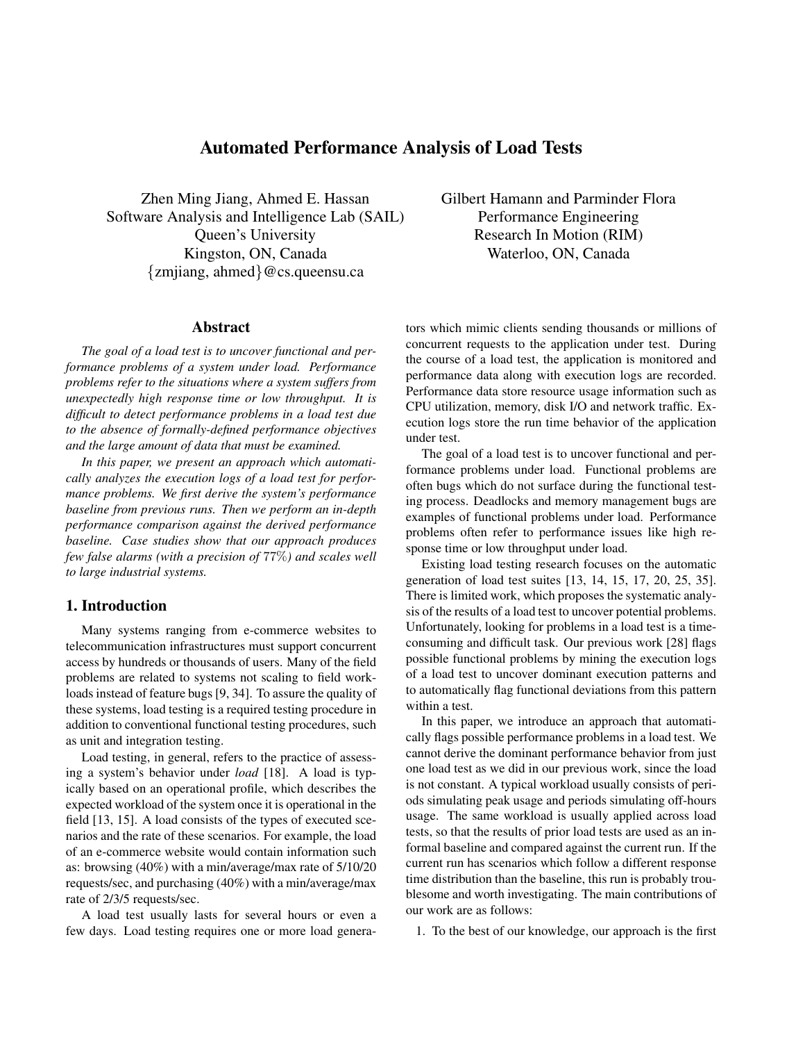# Automated Performance Analysis of Load Tests

Zhen Ming Jiang, Ahmed E. Hassan Software Analysis and Intelligence Lab (SAIL) Queen's University Kingston, ON, Canada {zmjiang, ahmed}@cs.queensu.ca

#### Abstract

*The goal of a load test is to uncover functional and performance problems of a system under load. Performance problems refer to the situations where a system suffers from unexpectedly high response time or low throughput. It is difficult to detect performance problems in a load test due to the absence of formally-defined performance objectives and the large amount of data that must be examined.*

*In this paper, we present an approach which automatically analyzes the execution logs of a load test for performance problems. We first derive the system's performance baseline from previous runs. Then we perform an in-depth performance comparison against the derived performance baseline. Case studies show that our approach produces few false alarms (with a precision of* 77%*) and scales well to large industrial systems.*

## 1. Introduction

Many systems ranging from e-commerce websites to telecommunication infrastructures must support concurrent access by hundreds or thousands of users. Many of the field problems are related to systems not scaling to field workloads instead of feature bugs [9, 34]. To assure the quality of these systems, load testing is a required testing procedure in addition to conventional functional testing procedures, such as unit and integration testing.

Load testing, in general, refers to the practice of assessing a system's behavior under *load* [18]. A load is typically based on an operational profile, which describes the expected workload of the system once it is operational in the field [13, 15]. A load consists of the types of executed scenarios and the rate of these scenarios. For example, the load of an e-commerce website would contain information such as: browsing (40%) with a min/average/max rate of 5/10/20 requests/sec, and purchasing (40%) with a min/average/max rate of 2/3/5 requests/sec.

A load test usually lasts for several hours or even a few days. Load testing requires one or more load generaGilbert Hamann and Parminder Flora Performance Engineering Research In Motion (RIM) Waterloo, ON, Canada

tors which mimic clients sending thousands or millions of concurrent requests to the application under test. During the course of a load test, the application is monitored and performance data along with execution logs are recorded. Performance data store resource usage information such as CPU utilization, memory, disk I/O and network traffic. Execution logs store the run time behavior of the application under test.

The goal of a load test is to uncover functional and performance problems under load. Functional problems are often bugs which do not surface during the functional testing process. Deadlocks and memory management bugs are examples of functional problems under load. Performance problems often refer to performance issues like high response time or low throughput under load.

Existing load testing research focuses on the automatic generation of load test suites [13, 14, 15, 17, 20, 25, 35]. There is limited work, which proposes the systematic analysis of the results of a load test to uncover potential problems. Unfortunately, looking for problems in a load test is a timeconsuming and difficult task. Our previous work [28] flags possible functional problems by mining the execution logs of a load test to uncover dominant execution patterns and to automatically flag functional deviations from this pattern within a test.

In this paper, we introduce an approach that automatically flags possible performance problems in a load test. We cannot derive the dominant performance behavior from just one load test as we did in our previous work, since the load is not constant. A typical workload usually consists of periods simulating peak usage and periods simulating off-hours usage. The same workload is usually applied across load tests, so that the results of prior load tests are used as an informal baseline and compared against the current run. If the current run has scenarios which follow a different response time distribution than the baseline, this run is probably troublesome and worth investigating. The main contributions of our work are as follows:

1. To the best of our knowledge, our approach is the first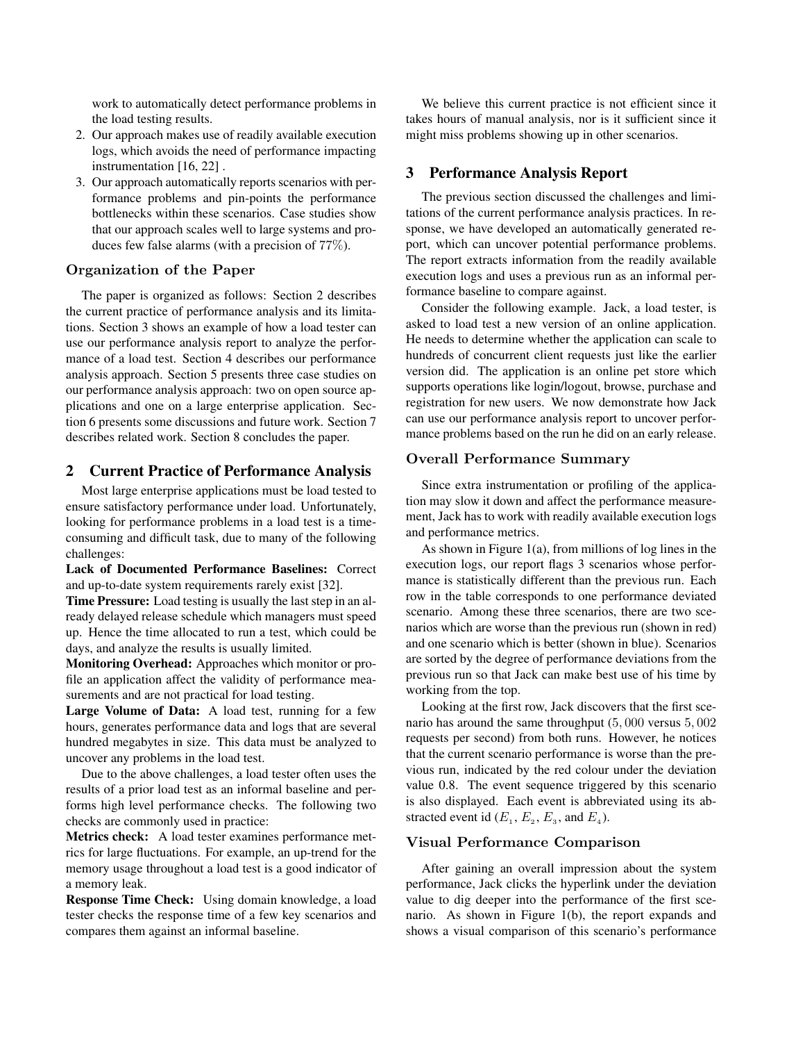work to automatically detect performance problems in the load testing results.

- 2. Our approach makes use of readily available execution logs, which avoids the need of performance impacting instrumentation [16, 22] .
- 3. Our approach automatically reports scenarios with performance problems and pin-points the performance bottlenecks within these scenarios. Case studies show that our approach scales well to large systems and produces few false alarms (with a precision of 77%).

## **Organization of the Paper**

The paper is organized as follows: Section 2 describes the current practice of performance analysis and its limitations. Section 3 shows an example of how a load tester can use our performance analysis report to analyze the performance of a load test. Section 4 describes our performance analysis approach. Section 5 presents three case studies on our performance analysis approach: two on open source applications and one on a large enterprise application. Section 6 presents some discussions and future work. Section 7 describes related work. Section 8 concludes the paper.

## 2 Current Practice of Performance Analysis

Most large enterprise applications must be load tested to ensure satisfactory performance under load. Unfortunately, looking for performance problems in a load test is a timeconsuming and difficult task, due to many of the following challenges:

Lack of Documented Performance Baselines: Correct and up-to-date system requirements rarely exist [32].

Time Pressure: Load testing is usually the last step in an already delayed release schedule which managers must speed up. Hence the time allocated to run a test, which could be days, and analyze the results is usually limited.

Monitoring Overhead: Approaches which monitor or profile an application affect the validity of performance measurements and are not practical for load testing.

Large Volume of Data: A load test, running for a few hours, generates performance data and logs that are several hundred megabytes in size. This data must be analyzed to uncover any problems in the load test.

Due to the above challenges, a load tester often uses the results of a prior load test as an informal baseline and performs high level performance checks. The following two checks are commonly used in practice:

Metrics check: A load tester examines performance metrics for large fluctuations. For example, an up-trend for the memory usage throughout a load test is a good indicator of a memory leak.

Response Time Check: Using domain knowledge, a load tester checks the response time of a few key scenarios and compares them against an informal baseline.

We believe this current practice is not efficient since it takes hours of manual analysis, nor is it sufficient since it might miss problems showing up in other scenarios.

## 3 Performance Analysis Report

The previous section discussed the challenges and limitations of the current performance analysis practices. In response, we have developed an automatically generated report, which can uncover potential performance problems. The report extracts information from the readily available execution logs and uses a previous run as an informal performance baseline to compare against.

Consider the following example. Jack, a load tester, is asked to load test a new version of an online application. He needs to determine whether the application can scale to hundreds of concurrent client requests just like the earlier version did. The application is an online pet store which supports operations like login/logout, browse, purchase and registration for new users. We now demonstrate how Jack can use our performance analysis report to uncover performance problems based on the run he did on an early release.

#### **Overall Performance Summary**

Since extra instrumentation or profiling of the application may slow it down and affect the performance measurement, Jack has to work with readily available execution logs and performance metrics.

As shown in Figure 1(a), from millions of log lines in the execution logs, our report flags 3 scenarios whose performance is statistically different than the previous run. Each row in the table corresponds to one performance deviated scenario. Among these three scenarios, there are two scenarios which are worse than the previous run (shown in red) and one scenario which is better (shown in blue). Scenarios are sorted by the degree of performance deviations from the previous run so that Jack can make best use of his time by working from the top.

Looking at the first row, Jack discovers that the first scenario has around the same throughput (5, 000 versus 5, 002 requests per second) from both runs. However, he notices that the current scenario performance is worse than the previous run, indicated by the red colour under the deviation value 0.8. The event sequence triggered by this scenario is also displayed. Each event is abbreviated using its abstracted event id  $(E_1, E_2, E_3, \text{ and } E_4)$ .

## **Visual Performance Comparison**

After gaining an overall impression about the system performance, Jack clicks the hyperlink under the deviation value to dig deeper into the performance of the first scenario. As shown in Figure 1(b), the report expands and shows a visual comparison of this scenario's performance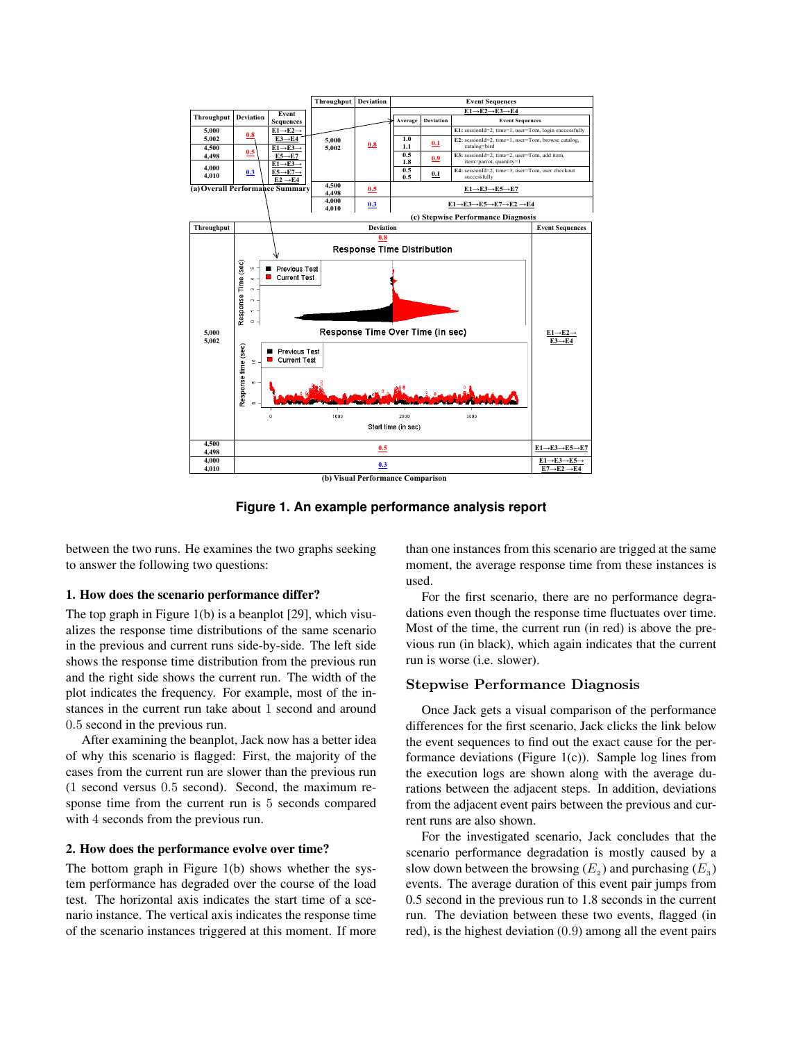

**Figure 1. An example performance analysis report**

between the two runs. He examines the two graphs seeking to answer the following two questions:

#### 1. How does the scenario performance differ?

The top graph in Figure 1(b) is a beanplot [29], which visualizes the response time distributions of the same scenario in the previous and current runs side-by-side. The left side shows the response time distribution from the previous run and the right side shows the current run. The width of the plot indicates the frequency. For example, most of the instances in the current run take about 1 second and around 0.5 second in the previous run.

After examining the beanplot, Jack now has a better idea of why this scenario is flagged: First, the majority of the cases from the current run are slower than the previous run (1 second versus 0.5 second). Second, the maximum response time from the current run is 5 seconds compared with 4 seconds from the previous run.

#### 2. How does the performance evolve over time?

The bottom graph in Figure 1(b) shows whether the system performance has degraded over the course of the load test. The horizontal axis indicates the start time of a scenario instance. The vertical axis indicates the response time of the scenario instances triggered at this moment. If more than one instances from this scenario are trigged at the same moment, the average response time from these instances is used.

For the first scenario, there are no performance degradations even though the response time fluctuates over time. Most of the time, the current run (in red) is above the previous run (in black), which again indicates that the current run is worse (i.e. slower).

#### **Stepwise Performance Diagnosis**

Once Jack gets a visual comparison of the performance differences for the first scenario, Jack clicks the link below the event sequences to find out the exact cause for the performance deviations (Figure  $1(c)$ ). Sample log lines from the execution logs are shown along with the average durations between the adjacent steps. In addition, deviations from the adjacent event pairs between the previous and current runs are also shown.

For the investigated scenario, Jack concludes that the scenario performance degradation is mostly caused by a slow down between the browsing  $(E_2)$  and purchasing  $(E_3)$ events. The average duration of this event pair jumps from 0.5 second in the previous run to 1.8 seconds in the current run. The deviation between these two events, flagged (in red), is the highest deviation (0.9) among all the event pairs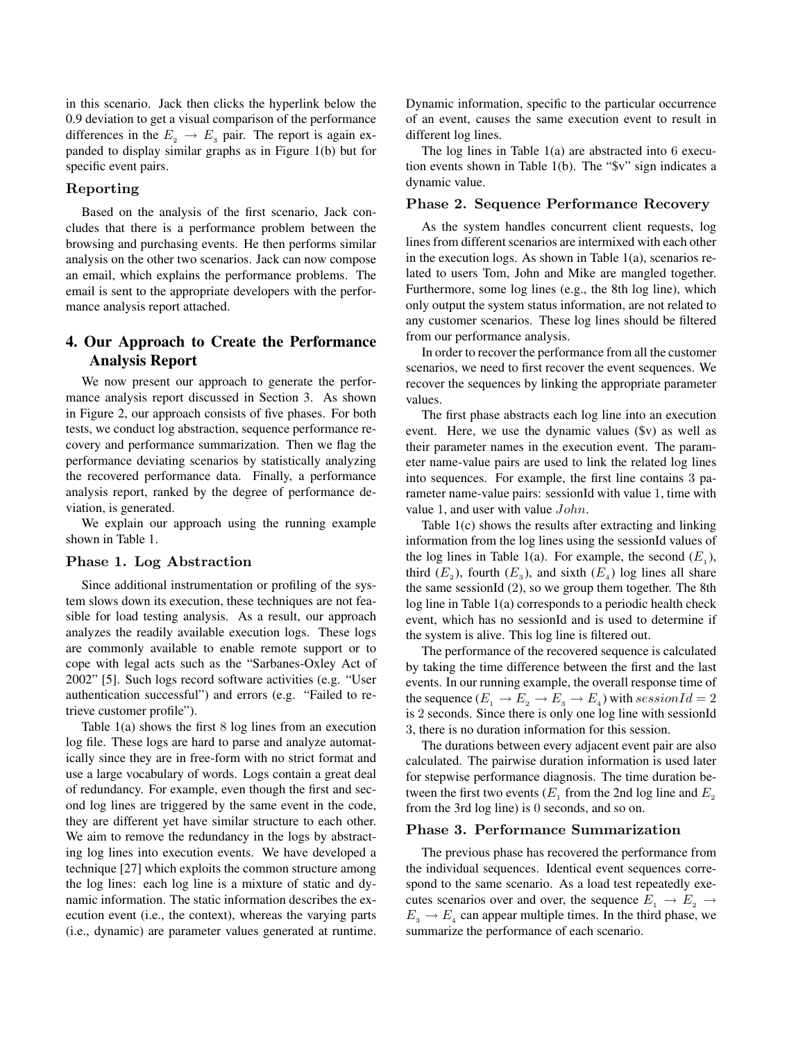in this scenario. Jack then clicks the hyperlink below the 0.9 deviation to get a visual comparison of the performance differences in the  $E_2 \rightarrow E_3$  pair. The report is again expanded to display similar graphs as in Figure 1(b) but for specific event pairs.

## **Reporting**

Based on the analysis of the first scenario, Jack concludes that there is a performance problem between the browsing and purchasing events. He then performs similar analysis on the other two scenarios. Jack can now compose an email, which explains the performance problems. The email is sent to the appropriate developers with the performance analysis report attached.

## 4. Our Approach to Create the Performance Analysis Report

We now present our approach to generate the performance analysis report discussed in Section 3. As shown in Figure 2, our approach consists of five phases. For both tests, we conduct log abstraction, sequence performance recovery and performance summarization. Then we flag the performance deviating scenarios by statistically analyzing the recovered performance data. Finally, a performance analysis report, ranked by the degree of performance deviation, is generated.

We explain our approach using the running example shown in Table 1.

#### **Phase 1. Log Abstraction**

Since additional instrumentation or profiling of the system slows down its execution, these techniques are not feasible for load testing analysis. As a result, our approach analyzes the readily available execution logs. These logs are commonly available to enable remote support or to cope with legal acts such as the "Sarbanes-Oxley Act of 2002" [5]. Such logs record software activities (e.g. "User authentication successful") and errors (e.g. "Failed to retrieve customer profile").

Table 1(a) shows the first 8 log lines from an execution log file. These logs are hard to parse and analyze automatically since they are in free-form with no strict format and use a large vocabulary of words. Logs contain a great deal of redundancy. For example, even though the first and second log lines are triggered by the same event in the code, they are different yet have similar structure to each other. We aim to remove the redundancy in the logs by abstracting log lines into execution events. We have developed a technique [27] which exploits the common structure among the log lines: each log line is a mixture of static and dynamic information. The static information describes the execution event (i.e., the context), whereas the varying parts (i.e., dynamic) are parameter values generated at runtime.

Dynamic information, specific to the particular occurrence of an event, causes the same execution event to result in different log lines.

The log lines in Table 1(a) are abstracted into 6 execution events shown in Table 1(b). The "\$v" sign indicates a dynamic value.

#### **Phase 2. Sequence Performance Recovery**

As the system handles concurrent client requests, log lines from different scenarios are intermixed with each other in the execution logs. As shown in Table  $1(a)$ , scenarios related to users Tom, John and Mike are mangled together. Furthermore, some log lines (e.g., the 8th log line), which only output the system status information, are not related to any customer scenarios. These log lines should be filtered from our performance analysis.

In order to recover the performance from all the customer scenarios, we need to first recover the event sequences. We recover the sequences by linking the appropriate parameter values.

The first phase abstracts each log line into an execution event. Here, we use the dynamic values (\$v) as well as their parameter names in the execution event. The parameter name-value pairs are used to link the related log lines into sequences. For example, the first line contains 3 parameter name-value pairs: sessionId with value 1, time with value 1, and user with value John.

Table 1(c) shows the results after extracting and linking information from the log lines using the sessionId values of the log lines in Table 1(a). For example, the second  $(E_1)$ , third  $(E_2)$ , fourth  $(E_2)$ , and sixth  $(E_4)$  log lines all share the same sessionId (2), so we group them together. The 8th log line in Table 1(a) corresponds to a periodic health check event, which has no sessionId and is used to determine if the system is alive. This log line is filtered out.

The performance of the recovered sequence is calculated by taking the time difference between the first and the last events. In our running example, the overall response time of the sequence  $(E_1 \rightarrow E_2 \rightarrow E_3 \rightarrow E_4)$  with session  $Id = 2$ is 2 seconds. Since there is only one log line with sessionId 3, there is no duration information for this session.

The durations between every adjacent event pair are also calculated. The pairwise duration information is used later for stepwise performance diagnosis. The time duration between the first two events ( $E_1$  from the 2nd log line and  $E_2$ ) from the 3rd log line) is 0 seconds, and so on.

#### **Phase 3. Performance Summarization**

The previous phase has recovered the performance from the individual sequences. Identical event sequences correspond to the same scenario. As a load test repeatedly executes scenarios over and over, the sequence  $E_1 \rightarrow E_2 \rightarrow$  $E_3 \rightarrow E_4$  can appear multiple times. In the third phase, we summarize the performance of each scenario.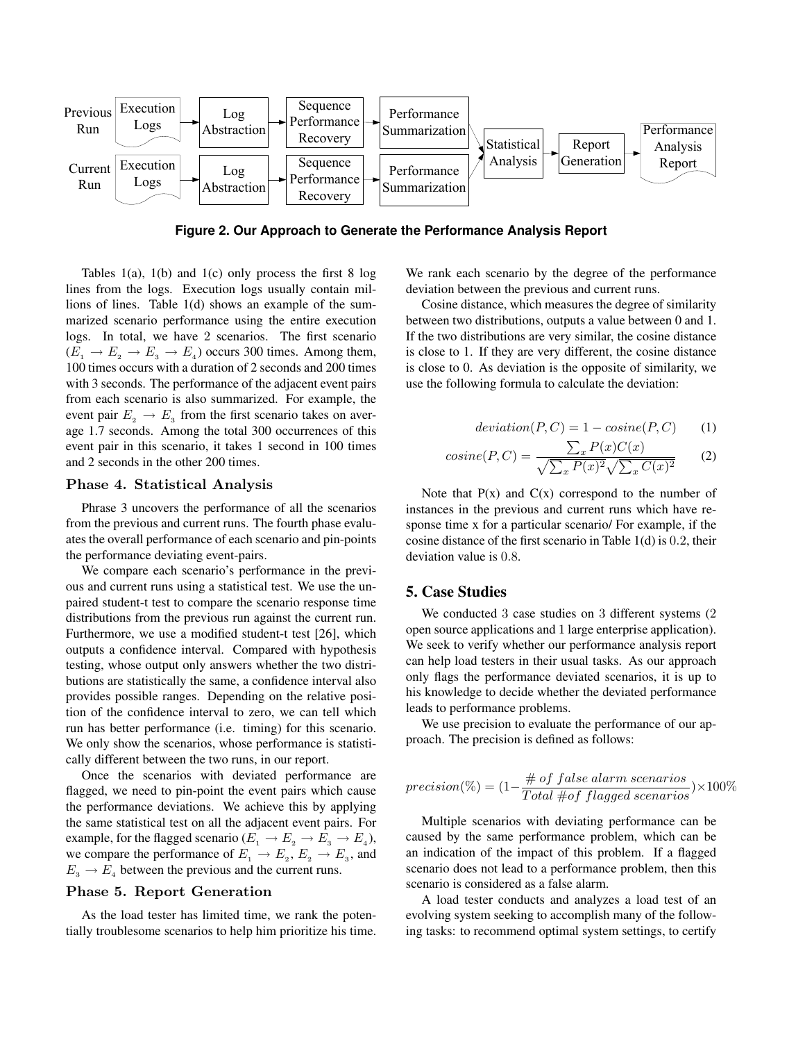

**Figure 2. Our Approach to Generate the Performance Analysis Report**

Tables  $1(a)$ ,  $1(b)$  and  $1(c)$  only process the first 8 log lines from the logs. Execution logs usually contain millions of lines. Table 1(d) shows an example of the summarized scenario performance using the entire execution logs. In total, we have 2 scenarios. The first scenario  $(E_1 \rightarrow E_2 \rightarrow E_3 \rightarrow E_4)$  occurs 300 times. Among them, 100 times occurs with a duration of 2 seconds and 200 times with 3 seconds. The performance of the adjacent event pairs from each scenario is also summarized. For example, the event pair  $E_2 \rightarrow E_3$  from the first scenario takes on average 1.7 seconds. Among the total 300 occurrences of this event pair in this scenario, it takes 1 second in 100 times and 2 seconds in the other 200 times.

#### **Phase 4. Statistical Analysis**

Phrase 3 uncovers the performance of all the scenarios from the previous and current runs. The fourth phase evaluates the overall performance of each scenario and pin-points the performance deviating event-pairs.

We compare each scenario's performance in the previous and current runs using a statistical test. We use the unpaired student-t test to compare the scenario response time distributions from the previous run against the current run. Furthermore, we use a modified student-t test [26], which outputs a confidence interval. Compared with hypothesis testing, whose output only answers whether the two distributions are statistically the same, a confidence interval also provides possible ranges. Depending on the relative position of the confidence interval to zero, we can tell which run has better performance (i.e. timing) for this scenario. We only show the scenarios, whose performance is statistically different between the two runs, in our report.

Once the scenarios with deviated performance are flagged, we need to pin-point the event pairs which cause the performance deviations. We achieve this by applying the same statistical test on all the adjacent event pairs. For example, for the flagged scenario ( $E_1 \rightarrow E_2 \rightarrow E_3 \rightarrow E_4$ ), we compare the performance of  $E_1 \rightarrow E_2, E_2 \rightarrow E_3$ , and  $E_3 \rightarrow E_4$  between the previous and the current runs.

#### **Phase 5. Report Generation**

As the load tester has limited time, we rank the potentially troublesome scenarios to help him prioritize his time. We rank each scenario by the degree of the performance deviation between the previous and current runs.

Cosine distance, which measures the degree of similarity between two distributions, outputs a value between 0 and 1. If the two distributions are very similar, the cosine distance is close to 1. If they are very different, the cosine distance is close to 0. As deviation is the opposite of similarity, we use the following formula to calculate the deviation:

$$
deviation(P, C) = 1 - cosine(P, C)
$$
 (1)

$$
cosine(P, C) = \frac{\sum_{x} P(x)C(x)}{\sqrt{\sum_{x} P(x)^{2}} \sqrt{\sum_{x} C(x)^{2}}}
$$
 (2)

Note that  $P(x)$  and  $C(x)$  correspond to the number of instances in the previous and current runs which have response time x for a particular scenario/ For example, if the cosine distance of the first scenario in Table 1(d) is 0.2, their deviation value is 0.8.

## 5. Case Studies

We conducted 3 case studies on 3 different systems (2 open source applications and 1 large enterprise application). We seek to verify whether our performance analysis report can help load testers in their usual tasks. As our approach only flags the performance deviated scenarios, it is up to his knowledge to decide whether the deviated performance leads to performance problems.

We use precision to evaluate the performance of our approach. The precision is defined as follows:

$$
precision(\%) = (1 - \frac{\# \text{ of false alarm scenarios}}{Total \# \text{ of flagged scenarios}}) \times 100\%
$$

Multiple scenarios with deviating performance can be caused by the same performance problem, which can be an indication of the impact of this problem. If a flagged scenario does not lead to a performance problem, then this scenario is considered as a false alarm.

A load tester conducts and analyzes a load test of an evolving system seeking to accomplish many of the following tasks: to recommend optimal system settings, to certify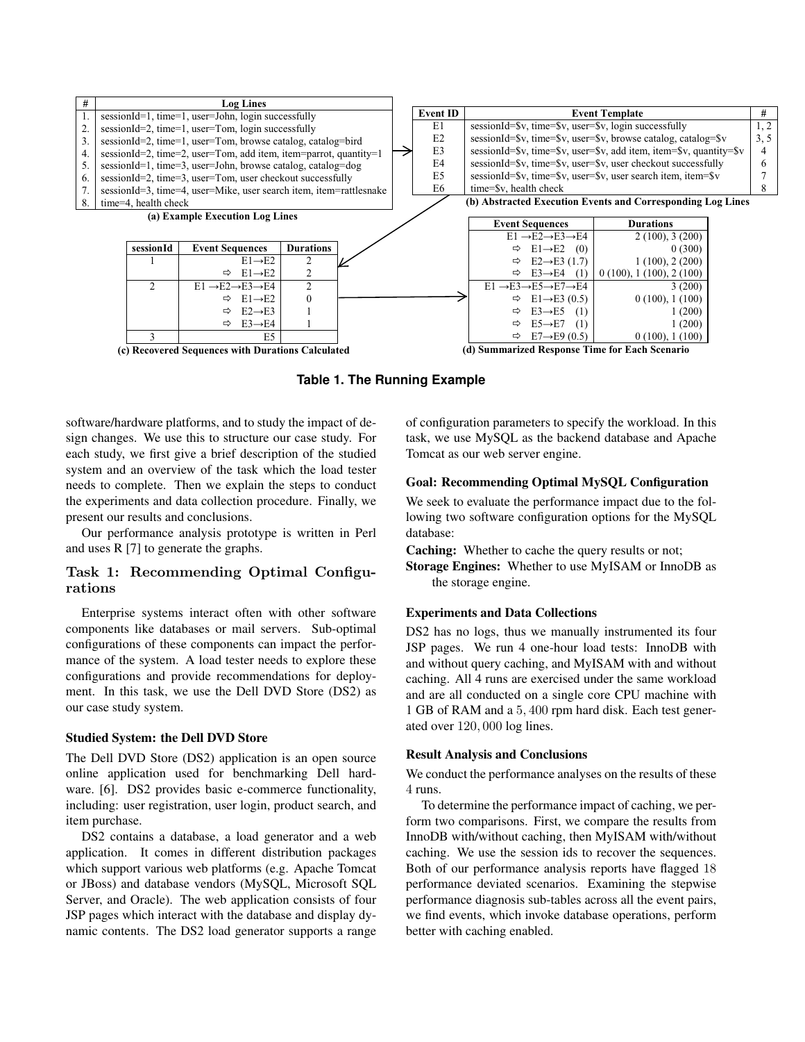

**Table 1. The Running Example**

software/hardware platforms, and to study the impact of design changes. We use this to structure our case study. For each study, we first give a brief description of the studied system and an overview of the task which the load tester needs to complete. Then we explain the steps to conduct the experiments and data collection procedure. Finally, we present our results and conclusions.

Our performance analysis prototype is written in Perl and uses R [7] to generate the graphs.

## **Task 1: Recommending Optimal Configurations**

Enterprise systems interact often with other software components like databases or mail servers. Sub-optimal configurations of these components can impact the performance of the system. A load tester needs to explore these configurations and provide recommendations for deployment. In this task, we use the Dell DVD Store (DS2) as our case study system.

#### Studied System: the Dell DVD Store

The Dell DVD Store (DS2) application is an open source online application used for benchmarking Dell hardware. [6]. DS2 provides basic e-commerce functionality, including: user registration, user login, product search, and item purchase.

DS2 contains a database, a load generator and a web application. It comes in different distribution packages which support various web platforms (e.g. Apache Tomcat or JBoss) and database vendors (MySQL, Microsoft SQL Server, and Oracle). The web application consists of four JSP pages which interact with the database and display dynamic contents. The DS2 load generator supports a range

of configuration parameters to specify the workload. In this task, we use MySQL as the backend database and Apache Tomcat as our web server engine.

#### Goal: Recommending Optimal MySQL Configuration

We seek to evaluate the performance impact due to the following two software configuration options for the MySQL database:

Caching: Whether to cache the query results or not;

Storage Engines: Whether to use MyISAM or InnoDB as the storage engine.

#### Experiments and Data Collections

DS2 has no logs, thus we manually instrumented its four JSP pages. We run 4 one-hour load tests: InnoDB with and without query caching, and MyISAM with and without caching. All 4 runs are exercised under the same workload and are all conducted on a single core CPU machine with 1 GB of RAM and a 5, 400 rpm hard disk. Each test generated over 120, 000 log lines.

#### Result Analysis and Conclusions

We conduct the performance analyses on the results of these 4 runs.

To determine the performance impact of caching, we perform two comparisons. First, we compare the results from InnoDB with/without caching, then MyISAM with/without caching. We use the session ids to recover the sequences. Both of our performance analysis reports have flagged 18 performance deviated scenarios. Examining the stepwise performance diagnosis sub-tables across all the event pairs, we find events, which invoke database operations, perform better with caching enabled.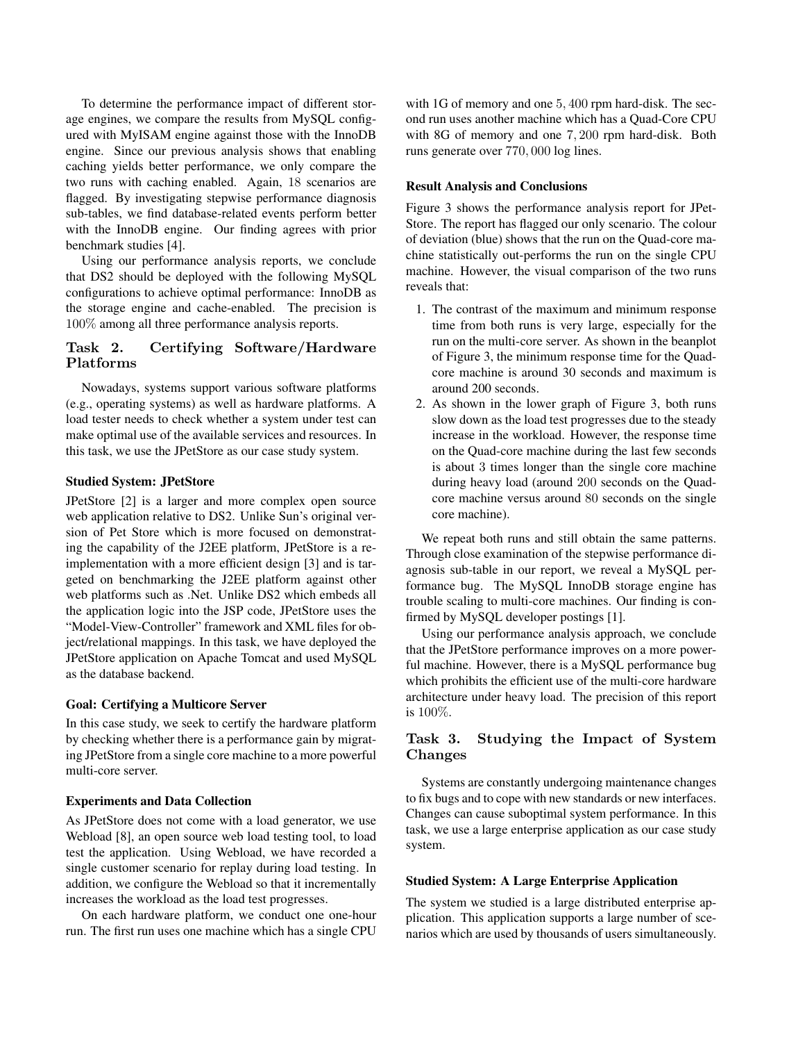To determine the performance impact of different storage engines, we compare the results from MySQL configured with MyISAM engine against those with the InnoDB engine. Since our previous analysis shows that enabling caching yields better performance, we only compare the two runs with caching enabled. Again, 18 scenarios are flagged. By investigating stepwise performance diagnosis sub-tables, we find database-related events perform better with the InnoDB engine. Our finding agrees with prior benchmark studies [4].

Using our performance analysis reports, we conclude that DS2 should be deployed with the following MySQL configurations to achieve optimal performance: InnoDB as the storage engine and cache-enabled. The precision is 100% among all three performance analysis reports.

## **Task 2. Certifying Software/Hardware Platforms**

Nowadays, systems support various software platforms (e.g., operating systems) as well as hardware platforms. A load tester needs to check whether a system under test can make optimal use of the available services and resources. In this task, we use the JPetStore as our case study system.

#### Studied System: JPetStore

JPetStore [2] is a larger and more complex open source web application relative to DS2. Unlike Sun's original version of Pet Store which is more focused on demonstrating the capability of the J2EE platform, JPetStore is a reimplementation with a more efficient design [3] and is targeted on benchmarking the J2EE platform against other web platforms such as .Net. Unlike DS2 which embeds all the application logic into the JSP code, JPetStore uses the "Model-View-Controller" framework and XML files for object/relational mappings. In this task, we have deployed the JPetStore application on Apache Tomcat and used MySQL as the database backend.

#### Goal: Certifying a Multicore Server

In this case study, we seek to certify the hardware platform by checking whether there is a performance gain by migrating JPetStore from a single core machine to a more powerful multi-core server.

#### Experiments and Data Collection

As JPetStore does not come with a load generator, we use Webload [8], an open source web load testing tool, to load test the application. Using Webload, we have recorded a single customer scenario for replay during load testing. In addition, we configure the Webload so that it incrementally increases the workload as the load test progresses.

On each hardware platform, we conduct one one-hour run. The first run uses one machine which has a single CPU

with 1G of memory and one 5, 400 rpm hard-disk. The second run uses another machine which has a Quad-Core CPU with 8G of memory and one 7, 200 rpm hard-disk. Both runs generate over 770, 000 log lines.

#### Result Analysis and Conclusions

Figure 3 shows the performance analysis report for JPet-Store. The report has flagged our only scenario. The colour of deviation (blue) shows that the run on the Quad-core machine statistically out-performs the run on the single CPU machine. However, the visual comparison of the two runs reveals that:

- 1. The contrast of the maximum and minimum response time from both runs is very large, especially for the run on the multi-core server. As shown in the beanplot of Figure 3, the minimum response time for the Quadcore machine is around 30 seconds and maximum is around 200 seconds.
- 2. As shown in the lower graph of Figure 3, both runs slow down as the load test progresses due to the steady increase in the workload. However, the response time on the Quad-core machine during the last few seconds is about 3 times longer than the single core machine during heavy load (around 200 seconds on the Quadcore machine versus around 80 seconds on the single core machine).

We repeat both runs and still obtain the same patterns. Through close examination of the stepwise performance diagnosis sub-table in our report, we reveal a MySQL performance bug. The MySQL InnoDB storage engine has trouble scaling to multi-core machines. Our finding is confirmed by MySQL developer postings [1].

Using our performance analysis approach, we conclude that the JPetStore performance improves on a more powerful machine. However, there is a MySQL performance bug which prohibits the efficient use of the multi-core hardware architecture under heavy load. The precision of this report is 100%.

## **Task 3. Studying the Impact of System Changes**

Systems are constantly undergoing maintenance changes to fix bugs and to cope with new standards or new interfaces. Changes can cause suboptimal system performance. In this task, we use a large enterprise application as our case study system.

#### Studied System: A Large Enterprise Application

The system we studied is a large distributed enterprise application. This application supports a large number of scenarios which are used by thousands of users simultaneously.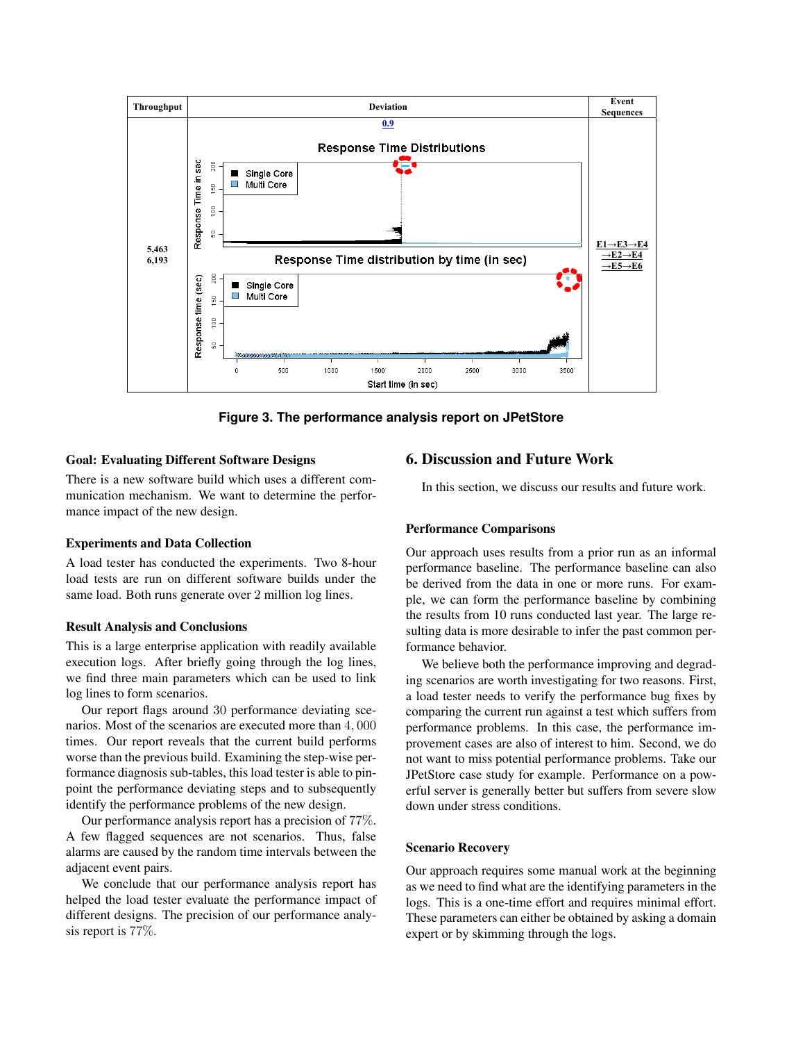

**Figure 3. The performance analysis report on JPetStore**

## Goal: Evaluating Different Software Designs

There is a new software build which uses a different communication mechanism. We want to determine the performance impact of the new design.

## Experiments and Data Collection

A load tester has conducted the experiments. Two 8-hour load tests are run on different software builds under the same load. Both runs generate over 2 million log lines.

## Result Analysis and Conclusions

This is a large enterprise application with readily available execution logs. After briefly going through the log lines, we find three main parameters which can be used to link log lines to form scenarios.

Our report flags around 30 performance deviating scenarios. Most of the scenarios are executed more than 4, 000 times. Our report reveals that the current build performs worse than the previous build. Examining the step-wise performance diagnosis sub-tables, this load tester is able to pinpoint the performance deviating steps and to subsequently identify the performance problems of the new design.

Our performance analysis report has a precision of 77%. A few flagged sequences are not scenarios. Thus, false alarms are caused by the random time intervals between the adjacent event pairs.

We conclude that our performance analysis report has helped the load tester evaluate the performance impact of different designs. The precision of our performance analysis report is 77%.

## 6. Discussion and Future Work

In this section, we discuss our results and future work.

## Performance Comparisons

Our approach uses results from a prior run as an informal performance baseline. The performance baseline can also be derived from the data in one or more runs. For example, we can form the performance baseline by combining the results from 10 runs conducted last year. The large resulting data is more desirable to infer the past common performance behavior.

We believe both the performance improving and degrading scenarios are worth investigating for two reasons. First, a load tester needs to verify the performance bug fixes by comparing the current run against a test which suffers from performance problems. In this case, the performance improvement cases are also of interest to him. Second, we do not want to miss potential performance problems. Take our JPetStore case study for example. Performance on a powerful server is generally better but suffers from severe slow down under stress conditions.

## Scenario Recovery

Our approach requires some manual work at the beginning as we need to find what are the identifying parameters in the logs. This is a one-time effort and requires minimal effort. These parameters can either be obtained by asking a domain expert or by skimming through the logs.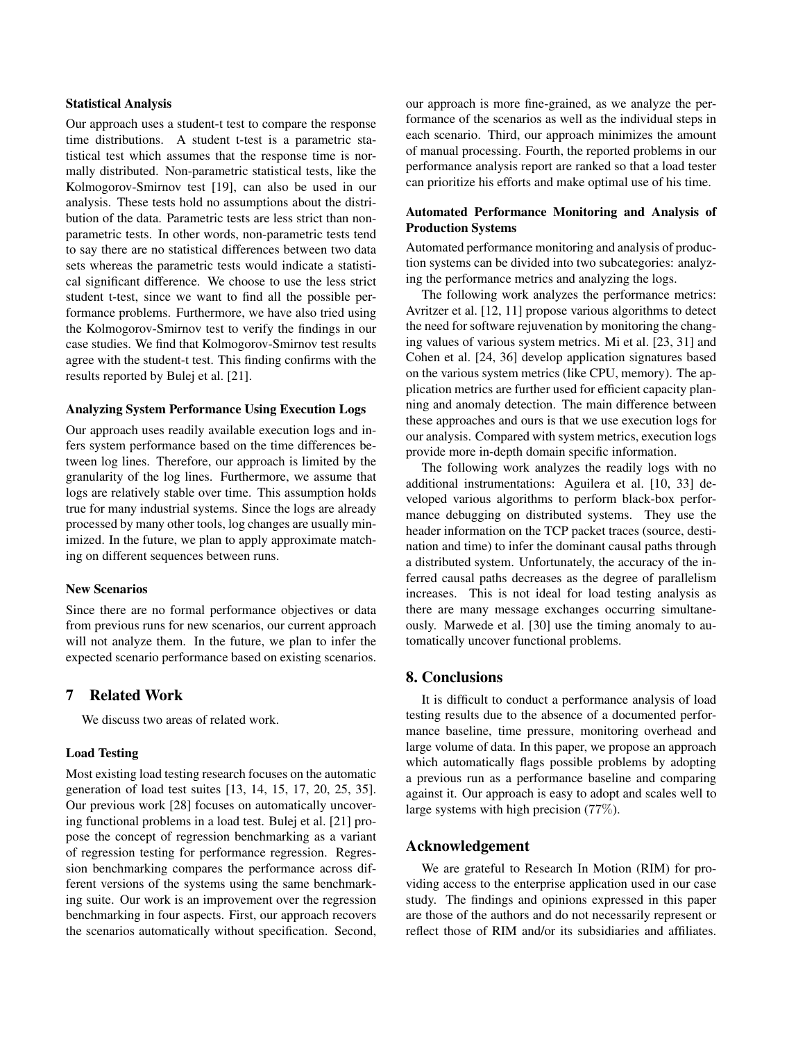#### Statistical Analysis

Our approach uses a student-t test to compare the response time distributions. A student t-test is a parametric statistical test which assumes that the response time is normally distributed. Non-parametric statistical tests, like the Kolmogorov-Smirnov test [19], can also be used in our analysis. These tests hold no assumptions about the distribution of the data. Parametric tests are less strict than nonparametric tests. In other words, non-parametric tests tend to say there are no statistical differences between two data sets whereas the parametric tests would indicate a statistical significant difference. We choose to use the less strict student t-test, since we want to find all the possible performance problems. Furthermore, we have also tried using the Kolmogorov-Smirnov test to verify the findings in our case studies. We find that Kolmogorov-Smirnov test results agree with the student-t test. This finding confirms with the results reported by Bulej et al. [21].

#### Analyzing System Performance Using Execution Logs

Our approach uses readily available execution logs and infers system performance based on the time differences between log lines. Therefore, our approach is limited by the granularity of the log lines. Furthermore, we assume that logs are relatively stable over time. This assumption holds true for many industrial systems. Since the logs are already processed by many other tools, log changes are usually minimized. In the future, we plan to apply approximate matching on different sequences between runs.

#### New Scenarios

Since there are no formal performance objectives or data from previous runs for new scenarios, our current approach will not analyze them. In the future, we plan to infer the expected scenario performance based on existing scenarios.

## 7 Related Work

We discuss two areas of related work.

## Load Testing

Most existing load testing research focuses on the automatic generation of load test suites [13, 14, 15, 17, 20, 25, 35]. Our previous work [28] focuses on automatically uncovering functional problems in a load test. Bulej et al. [21] propose the concept of regression benchmarking as a variant of regression testing for performance regression. Regression benchmarking compares the performance across different versions of the systems using the same benchmarking suite. Our work is an improvement over the regression benchmarking in four aspects. First, our approach recovers the scenarios automatically without specification. Second, our approach is more fine-grained, as we analyze the performance of the scenarios as well as the individual steps in each scenario. Third, our approach minimizes the amount of manual processing. Fourth, the reported problems in our performance analysis report are ranked so that a load tester can prioritize his efforts and make optimal use of his time.

#### Automated Performance Monitoring and Analysis of Production Systems

Automated performance monitoring and analysis of production systems can be divided into two subcategories: analyzing the performance metrics and analyzing the logs.

The following work analyzes the performance metrics: Avritzer et al. [12, 11] propose various algorithms to detect the need for software rejuvenation by monitoring the changing values of various system metrics. Mi et al. [23, 31] and Cohen et al. [24, 36] develop application signatures based on the various system metrics (like CPU, memory). The application metrics are further used for efficient capacity planning and anomaly detection. The main difference between these approaches and ours is that we use execution logs for our analysis. Compared with system metrics, execution logs provide more in-depth domain specific information.

The following work analyzes the readily logs with no additional instrumentations: Aguilera et al. [10, 33] developed various algorithms to perform black-box performance debugging on distributed systems. They use the header information on the TCP packet traces (source, destination and time) to infer the dominant causal paths through a distributed system. Unfortunately, the accuracy of the inferred causal paths decreases as the degree of parallelism increases. This is not ideal for load testing analysis as there are many message exchanges occurring simultaneously. Marwede et al. [30] use the timing anomaly to automatically uncover functional problems.

#### 8. Conclusions

It is difficult to conduct a performance analysis of load testing results due to the absence of a documented performance baseline, time pressure, monitoring overhead and large volume of data. In this paper, we propose an approach which automatically flags possible problems by adopting a previous run as a performance baseline and comparing against it. Our approach is easy to adopt and scales well to large systems with high precision (77%).

## Acknowledgement

We are grateful to Research In Motion (RIM) for providing access to the enterprise application used in our case study. The findings and opinions expressed in this paper are those of the authors and do not necessarily represent or reflect those of RIM and/or its subsidiaries and affiliates.